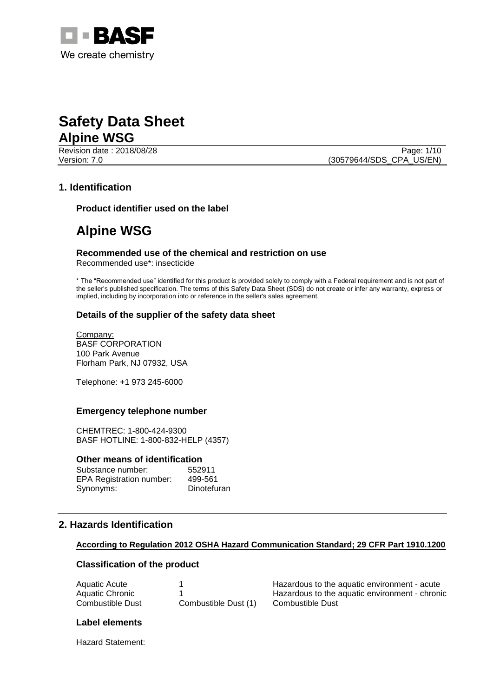

Revision date : 2018/08/28 Page: 1/10

Version: 7.0 (30579644/SDS\_CPA\_US/EN)

#### **1. Identification**

**Product identifier used on the label**

### **Alpine WSG**

#### **Recommended use of the chemical and restriction on use** Recommended use\*: insecticide

\* The "Recommended use" identified for this product is provided solely to comply with a Federal requirement and is not part of the seller's published specification. The terms of this Safety Data Sheet (SDS) do not create or infer any warranty, express or implied, including by incorporation into or reference in the seller's sales agreement.

#### **Details of the supplier of the safety data sheet**

Company: BASF CORPORATION 100 Park Avenue Florham Park, NJ 07932, USA

Telephone: +1 973 245-6000

#### **Emergency telephone number**

CHEMTREC: 1-800-424-9300 BASF HOTLINE: 1-800-832-HELP (4357)

#### **Other means of identification**

| Substance number:               | 552911      |
|---------------------------------|-------------|
| <b>EPA Registration number:</b> | 499-561     |
| Synonyms:                       | Dinotefuran |

#### **2. Hazards Identification**

#### **According to Regulation 2012 OSHA Hazard Communication Standard; 29 CFR Part 1910.1200**

#### **Classification of the product**

| Aquatic Acute    |                      |
|------------------|----------------------|
| Aquatic Chronic  |                      |
| Combustible Dust | Combustible Dust (1) |

Hazardous to the aquatic environment - acute Hazardous to the aquatic environment - chronic Combustible Dust

#### **Label elements**

Hazard Statement: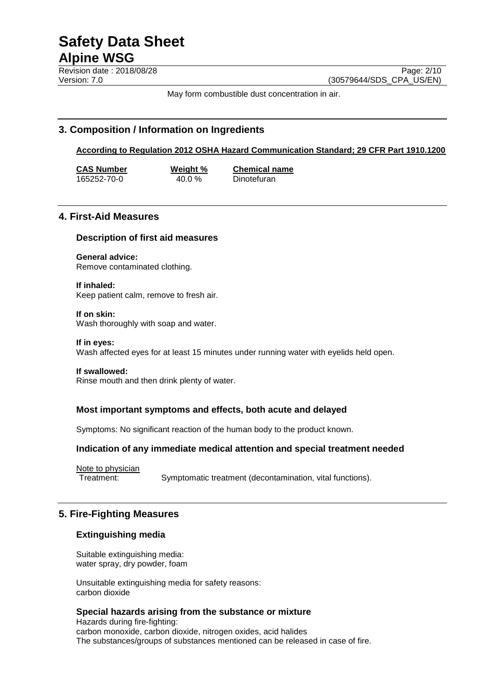**Revision date : 2018/08/28** Page: 2/10 Version: 7.0 (30579644/SDS\_CPA\_US/EN)

May form combustible dust concentration in air.

#### **3. Composition / Information on Ingredients**

**According to Regulation 2012 OSHA Hazard Communication Standard; 29 CFR Part 1910.1200**

**CAS Number Weight % Chemical name** 165252-70-0 40.0 % Dinotefuran

#### **4. First-Aid Measures**

#### **Description of first aid measures**

**General advice:** Remove contaminated clothing.

**If inhaled:** Keep patient calm, remove to fresh air.

**If on skin:** Wash thoroughly with soap and water.

**If in eyes:** Wash affected eyes for at least 15 minutes under running water with eyelids held open.

#### **If swallowed:**

Rinse mouth and then drink plenty of water.

#### **Most important symptoms and effects, both acute and delayed**

Symptoms: No significant reaction of the human body to the product known.

#### **Indication of any immediate medical attention and special treatment needed**

Note to physician Treatment: Symptomatic treatment (decontamination, vital functions).

#### **5. Fire-Fighting Measures**

#### **Extinguishing media**

Suitable extinguishing media: water spray, dry powder, foam

Unsuitable extinguishing media for safety reasons: carbon dioxide

#### **Special hazards arising from the substance or mixture**

Hazards during fire-fighting: carbon monoxide, carbon dioxide, nitrogen oxides, acid halides The substances/groups of substances mentioned can be released in case of fire.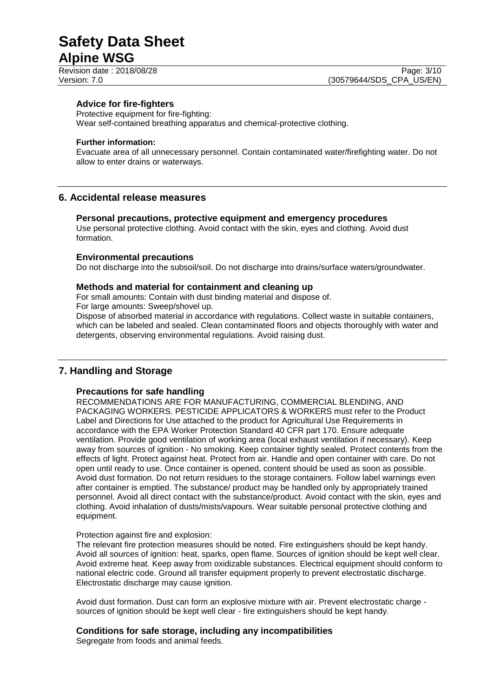#### **Advice for fire-fighters**

Protective equipment for fire-fighting:

Wear self-contained breathing apparatus and chemical-protective clothing.

#### **Further information:**

Evacuate area of all unnecessary personnel. Contain contaminated water/firefighting water. Do not allow to enter drains or waterways.

#### **6. Accidental release measures**

#### **Personal precautions, protective equipment and emergency procedures**

Use personal protective clothing. Avoid contact with the skin, eyes and clothing. Avoid dust formation.

#### **Environmental precautions**

Do not discharge into the subsoil/soil. Do not discharge into drains/surface waters/groundwater.

#### **Methods and material for containment and cleaning up**

For small amounts: Contain with dust binding material and dispose of.

For large amounts: Sweep/shovel up.

Dispose of absorbed material in accordance with regulations. Collect waste in suitable containers, which can be labeled and sealed. Clean contaminated floors and objects thoroughly with water and detergents, observing environmental regulations. Avoid raising dust.

#### **7. Handling and Storage**

#### **Precautions for safe handling**

RECOMMENDATIONS ARE FOR MANUFACTURING, COMMERCIAL BLENDING, AND PACKAGING WORKERS. PESTICIDE APPLICATORS & WORKERS must refer to the Product Label and Directions for Use attached to the product for Agricultural Use Requirements in accordance with the EPA Worker Protection Standard 40 CFR part 170. Ensure adequate ventilation. Provide good ventilation of working area (local exhaust ventilation if necessary). Keep away from sources of ignition - No smoking. Keep container tightly sealed. Protect contents from the effects of light. Protect against heat. Protect from air. Handle and open container with care. Do not open until ready to use. Once container is opened, content should be used as soon as possible. Avoid dust formation. Do not return residues to the storage containers. Follow label warnings even after container is emptied. The substance/ product may be handled only by appropriately trained personnel. Avoid all direct contact with the substance/product. Avoid contact with the skin, eyes and clothing. Avoid inhalation of dusts/mists/vapours. Wear suitable personal protective clothing and equipment.

#### Protection against fire and explosion:

The relevant fire protection measures should be noted. Fire extinguishers should be kept handy. Avoid all sources of ignition: heat, sparks, open flame. Sources of ignition should be kept well clear. Avoid extreme heat. Keep away from oxidizable substances. Electrical equipment should conform to national electric code. Ground all transfer equipment properly to prevent electrostatic discharge. Electrostatic discharge may cause ignition.

Avoid dust formation. Dust can form an explosive mixture with air. Prevent electrostatic charge sources of ignition should be kept well clear - fire extinguishers should be kept handy.

#### **Conditions for safe storage, including any incompatibilities**

Segregate from foods and animal feeds.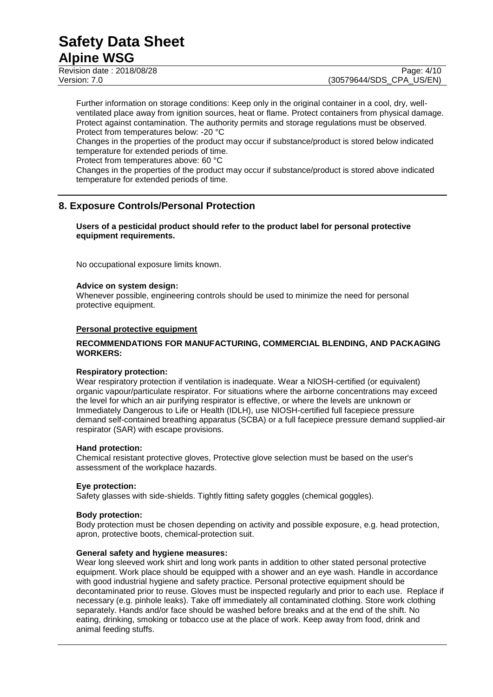# **Safety Data Sheet**

### **Alpine WSG**

Revision date : 2018/08/28 Page: 4/10 Version: 7.0 (30579644/SDS\_CPA\_US/EN)

Further information on storage conditions: Keep only in the original container in a cool, dry, wellventilated place away from ignition sources, heat or flame. Protect containers from physical damage. Protect against contamination. The authority permits and storage regulations must be observed. Protect from temperatures below: -20 °C

Changes in the properties of the product may occur if substance/product is stored below indicated temperature for extended periods of time.

Protect from temperatures above: 60 °C

Changes in the properties of the product may occur if substance/product is stored above indicated temperature for extended periods of time.

#### **8. Exposure Controls/Personal Protection**

**Users of a pesticidal product should refer to the product label for personal protective equipment requirements.**

No occupational exposure limits known.

#### **Advice on system design:**

Whenever possible, engineering controls should be used to minimize the need for personal protective equipment.

#### **Personal protective equipment**

#### **RECOMMENDATIONS FOR MANUFACTURING, COMMERCIAL BLENDING, AND PACKAGING WORKERS:**

#### **Respiratory protection:**

Wear respiratory protection if ventilation is inadequate. Wear a NIOSH-certified (or equivalent) organic vapour/particulate respirator. For situations where the airborne concentrations may exceed the level for which an air purifying respirator is effective, or where the levels are unknown or Immediately Dangerous to Life or Health (IDLH), use NIOSH-certified full facepiece pressure demand self-contained breathing apparatus (SCBA) or a full facepiece pressure demand supplied-air respirator (SAR) with escape provisions.

#### **Hand protection:**

Chemical resistant protective gloves, Protective glove selection must be based on the user's assessment of the workplace hazards.

#### **Eye protection:**

Safety glasses with side-shields. Tightly fitting safety goggles (chemical goggles).

#### **Body protection:**

Body protection must be chosen depending on activity and possible exposure, e.g. head protection, apron, protective boots, chemical-protection suit.

#### **General safety and hygiene measures:**

Wear long sleeved work shirt and long work pants in addition to other stated personal protective equipment. Work place should be equipped with a shower and an eye wash. Handle in accordance with good industrial hygiene and safety practice. Personal protective equipment should be decontaminated prior to reuse. Gloves must be inspected regularly and prior to each use. Replace if necessary (e.g. pinhole leaks). Take off immediately all contaminated clothing. Store work clothing separately. Hands and/or face should be washed before breaks and at the end of the shift. No eating, drinking, smoking or tobacco use at the place of work. Keep away from food, drink and animal feeding stuffs.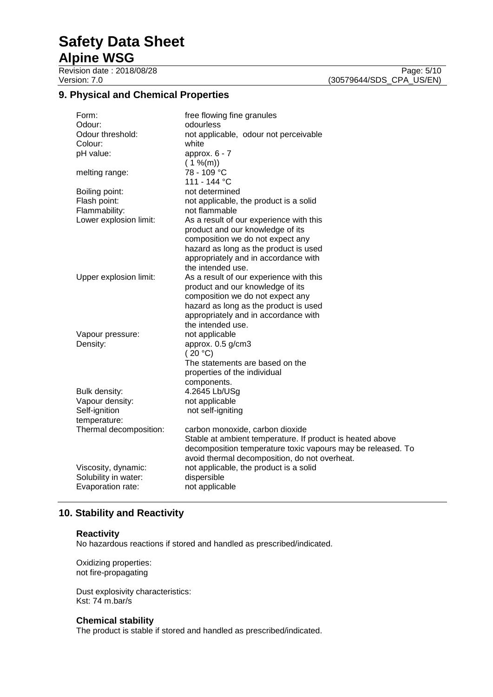### **9. Physical and Chemical Properties**

| Form:                  | free flowing fine granules                                  |
|------------------------|-------------------------------------------------------------|
| Odour:                 | odourless                                                   |
| Odour threshold:       | not applicable, odour not perceivable                       |
| Colour:                | white                                                       |
| pH value:              | approx. $6 - 7$                                             |
|                        | (1 % <sub>m</sub> )                                         |
| melting range:         | 78 - 109 °C                                                 |
|                        | 111 - 144 °C                                                |
| Boiling point:         | not determined                                              |
| Flash point:           | not applicable, the product is a solid                      |
| Flammability:          | not flammable                                               |
| Lower explosion limit: | As a result of our experience with this                     |
|                        | product and our knowledge of its                            |
|                        | composition we do not expect any                            |
|                        | hazard as long as the product is used                       |
|                        | appropriately and in accordance with                        |
|                        | the intended use.                                           |
| Upper explosion limit: | As a result of our experience with this                     |
|                        | product and our knowledge of its                            |
|                        | composition we do not expect any                            |
|                        | hazard as long as the product is used                       |
|                        | appropriately and in accordance with                        |
|                        | the intended use.                                           |
| Vapour pressure:       | not applicable                                              |
| Density:               | approx. 0.5 g/cm3                                           |
|                        | (20 °C)                                                     |
|                        | The statements are based on the                             |
|                        | properties of the individual                                |
|                        | components.                                                 |
| Bulk density:          | 4.2645 Lb/USg                                               |
| Vapour density:        | not applicable                                              |
| Self-ignition          | not self-igniting                                           |
| temperature:           |                                                             |
| Thermal decomposition: | carbon monoxide, carbon dioxide                             |
|                        | Stable at ambient temperature. If product is heated above   |
|                        | decomposition temperature toxic vapours may be released. To |
|                        | avoid thermal decomposition, do not overheat.               |
| Viscosity, dynamic:    | not applicable, the product is a solid                      |
| Solubility in water:   | dispersible                                                 |
| Evaporation rate:      | not applicable                                              |

### **10. Stability and Reactivity**

#### **Reactivity**

No hazardous reactions if stored and handled as prescribed/indicated.

Oxidizing properties: not fire-propagating

Dust explosivity characteristics: Kst: 74 m.bar/s

#### **Chemical stability**

The product is stable if stored and handled as prescribed/indicated.

Revision date : 2018/08/28 Page: 5/10<br>Version: 7.0 (30579644/SDS\_CPA\_US/EN) (30579644/SDS\_CPA\_US/EN)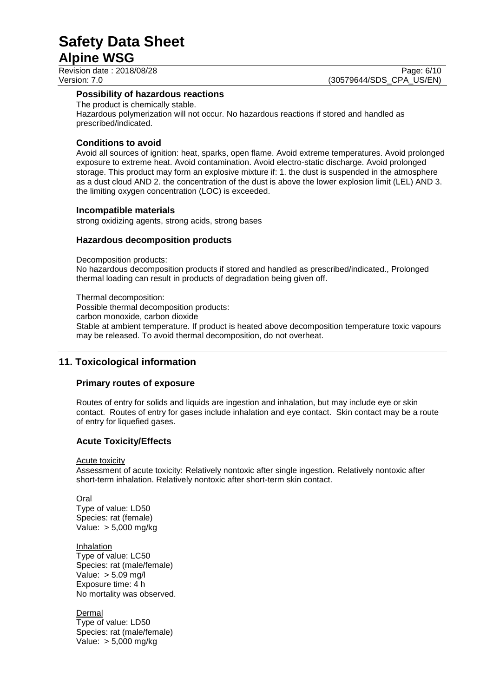Revision date : 2018/08/28 Page: 6/10

Version: 7.0 (30579644/SDS\_CPA\_US/EN)

#### **Possibility of hazardous reactions**

The product is chemically stable. Hazardous polymerization will not occur. No hazardous reactions if stored and handled as prescribed/indicated.

#### **Conditions to avoid**

Avoid all sources of ignition: heat, sparks, open flame. Avoid extreme temperatures. Avoid prolonged exposure to extreme heat. Avoid contamination. Avoid electro-static discharge. Avoid prolonged storage. This product may form an explosive mixture if: 1. the dust is suspended in the atmosphere as a dust cloud AND 2. the concentration of the dust is above the lower explosion limit (LEL) AND 3. the limiting oxygen concentration (LOC) is exceeded.

#### **Incompatible materials**

strong oxidizing agents, strong acids, strong bases

#### **Hazardous decomposition products**

Decomposition products:

No hazardous decomposition products if stored and handled as prescribed/indicated., Prolonged thermal loading can result in products of degradation being given off.

Thermal decomposition: Possible thermal decomposition products: carbon monoxide, carbon dioxide Stable at ambient temperature. If product is heated above decomposition temperature toxic vapours may be released. To avoid thermal decomposition, do not overheat.

#### **11. Toxicological information**

#### **Primary routes of exposure**

Routes of entry for solids and liquids are ingestion and inhalation, but may include eye or skin contact. Routes of entry for gases include inhalation and eye contact. Skin contact may be a route of entry for liquefied gases.

#### **Acute Toxicity/Effects**

Acute toxicity

Assessment of acute toxicity: Relatively nontoxic after single ingestion. Relatively nontoxic after short-term inhalation. Relatively nontoxic after short-term skin contact.

Oral

Type of value: LD50 Species: rat (female) Value: > 5,000 mg/kg

Inhalation Type of value: LC50 Species: rat (male/female) Value: > 5.09 mg/l Exposure time: 4 h No mortality was observed.

Dermal Type of value: LD50 Species: rat (male/female) Value: > 5,000 mg/kg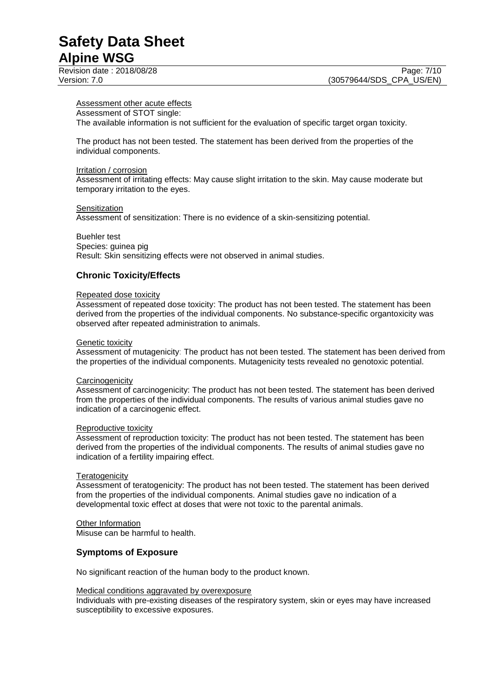#### Assessment other acute effects

#### Assessment of STOT single:

The available information is not sufficient for the evaluation of specific target organ toxicity.

The product has not been tested. The statement has been derived from the properties of the individual components.

#### Irritation / corrosion

Assessment of irritating effects: May cause slight irritation to the skin. May cause moderate but temporary irritation to the eyes.

#### **Sensitization**

Assessment of sensitization: There is no evidence of a skin-sensitizing potential.

#### Buehler test

Species: guinea pig Result: Skin sensitizing effects were not observed in animal studies.

#### **Chronic Toxicity/Effects**

#### Repeated dose toxicity

Assessment of repeated dose toxicity: The product has not been tested. The statement has been derived from the properties of the individual components. No substance-specific organtoxicity was observed after repeated administration to animals.

#### Genetic toxicity

Assessment of mutagenicity: The product has not been tested. The statement has been derived from the properties of the individual components. Mutagenicity tests revealed no genotoxic potential.

#### **Carcinogenicity**

Assessment of carcinogenicity: The product has not been tested. The statement has been derived from the properties of the individual components. The results of various animal studies gave no indication of a carcinogenic effect.

#### Reproductive toxicity

Assessment of reproduction toxicity: The product has not been tested. The statement has been derived from the properties of the individual components. The results of animal studies gave no indication of a fertility impairing effect.

#### **Teratogenicity**

Assessment of teratogenicity: The product has not been tested. The statement has been derived from the properties of the individual components. Animal studies gave no indication of a developmental toxic effect at doses that were not toxic to the parental animals.

#### Other Information

Misuse can be harmful to health.

#### **Symptoms of Exposure**

No significant reaction of the human body to the product known.

#### Medical conditions aggravated by overexposure

Individuals with pre-existing diseases of the respiratory system, skin or eyes may have increased susceptibility to excessive exposures.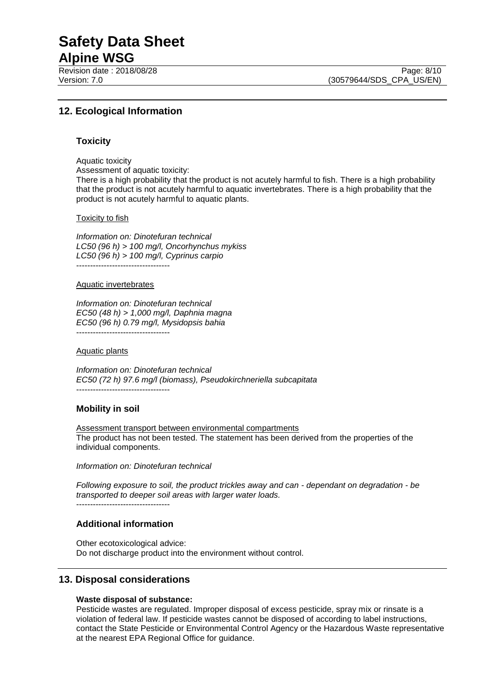## **Safety Data Sheet**

### **Alpine WSG**

Revision date : 2018/08/28 Page: 8/10

Version: 7.0 (30579644/SDS\_CPA\_US/EN)

#### **12. Ecological Information**

#### **Toxicity**

Aquatic toxicity

Assessment of aquatic toxicity: There is a high probability that the product is not acutely harmful to fish. There is a high probability that the product is not acutely harmful to aquatic invertebrates. There is a high probability that the product is not acutely harmful to aquatic plants.

#### Toxicity to fish

*Information on: Dinotefuran technical LC50 (96 h) > 100 mg/l, Oncorhynchus mykiss LC50 (96 h) > 100 mg/l, Cyprinus carpio* ----------------------------------

#### Aquatic invertebrates

*Information on: Dinotefuran technical EC50 (48 h) > 1,000 mg/l, Daphnia magna EC50 (96 h) 0.79 mg/l, Mysidopsis bahia* ----------------------------------

#### Aquatic plants

*Information on: Dinotefuran technical EC50 (72 h) 97.6 mg/l (biomass), Pseudokirchneriella subcapitata* ----------------------------------

#### **Mobility in soil**

Assessment transport between environmental compartments The product has not been tested. The statement has been derived from the properties of the individual components.

*Information on: Dinotefuran technical*

*Following exposure to soil, the product trickles away and can - dependant on degradation - be transported to deeper soil areas with larger water loads.*

----------------------------------

#### **Additional information**

Other ecotoxicological advice: Do not discharge product into the environment without control.

#### **13. Disposal considerations**

#### **Waste disposal of substance:**

Pesticide wastes are regulated. Improper disposal of excess pesticide, spray mix or rinsate is a violation of federal law. If pesticide wastes cannot be disposed of according to label instructions, contact the State Pesticide or Environmental Control Agency or the Hazardous Waste representative at the nearest EPA Regional Office for guidance.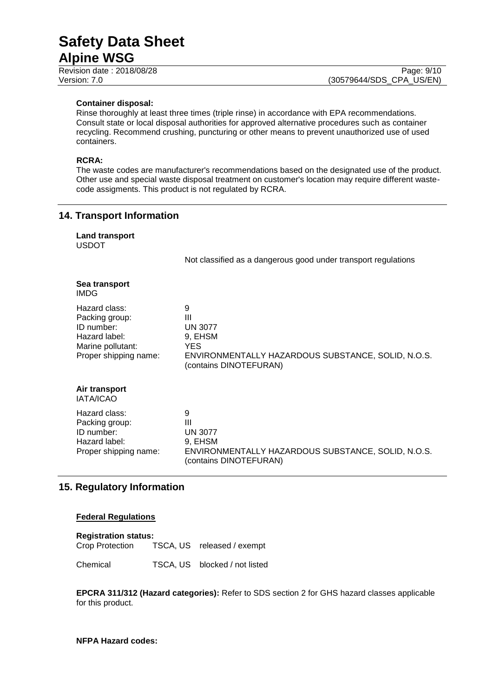Revision date : 2018/08/28 Page: 9/10

dangerous good under transport regulations

#### **Container disposal:**

Rinse thoroughly at least three times (triple rinse) in accordance with EPA recommendations. Consult state or local disposal authorities for approved alternative procedures such as container recycling. Recommend crushing, puncturing or other means to prevent unauthorized use of used containers.

#### **RCRA:**

The waste codes are manufacturer's recommendations based on the designated use of the product. Other use and special waste disposal treatment on customer's location may require different wastecode assigments. This product is not regulated by RCRA.

#### **14. Transport Information**

| Not classified as a |
|---------------------|
|                     |
| 9<br>ш              |
|                     |

| ι ιαζαι ν νιανν.           | Ш                                                  |
|----------------------------|----------------------------------------------------|
| Packing group:             | <b>UN 3077</b>                                     |
| ID number:                 | 9, EHSM                                            |
| Hazard label:              | <b>YES</b>                                         |
| Marine pollutant:          | ENVIRONMENTALLY HAZARDOUS SUBSTANCE, SOLID, N.O.S. |
| Proper shipping name:      | (contains DINOTEFURAN)                             |
| Air transport<br>IATA/ICAO |                                                    |
| Hazard class:              | 9                                                  |
| Packing group:             | Ш                                                  |
| ID number:                 | <b>UN 3077</b>                                     |
| Hazard label:              | 9. EHSM                                            |
| Proper shipping name:      | ENVIRONMENTALLY HAZARDOUS SUBSTANCE, SOLID, N.O.S. |

(contains DINOTEFURAN)

#### **15. Regulatory Information**

#### **Federal Regulations**

| <b>Registration status:</b> |  |                            |  |  |  |
|-----------------------------|--|----------------------------|--|--|--|
| Crop Protection             |  | TSCA, US released / exempt |  |  |  |

Chemical TSCA, US blocked / not listed

**EPCRA 311/312 (Hazard categories):** Refer to SDS section 2 for GHS hazard classes applicable for this product.

#### **NFPA Hazard codes:**